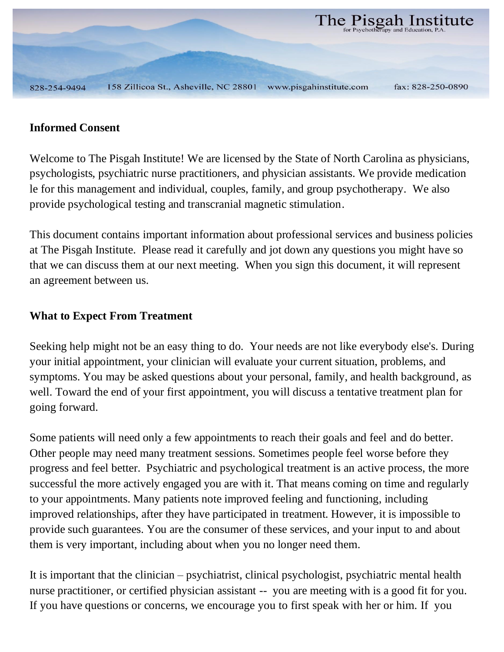

### **Informed Consent**

Welcome to The Pisgah Institute! We are licensed by the State of North Carolina as physicians, psychologists, psychiatric nurse practitioners, and physician assistants. We provide medication le for this management and individual, couples, family, and group psychotherapy. We also provide psychological testing and transcranial magnetic stimulation.

This document contains important information about professional services and business policies at The Pisgah Institute. Please read it carefully and jot down any questions you might have so that we can discuss them at our next meeting. When you sign this document, it will represent an agreement between us.

### **What to Expect From Treatment**

Seeking help might not be an easy thing to do. Your needs are not like everybody else's. During your initial appointment, your clinician will evaluate your current situation, problems, and symptoms. You may be asked questions about your personal, family, and health background, as well. Toward the end of your first appointment, you will discuss a tentative treatment plan for going forward.

Some patients will need only a few appointments to reach their goals and feel and do better. Other people may need many treatment sessions. Sometimes people feel worse before they progress and feel better. Psychiatric and psychological treatment is an active process, the more successful the more actively engaged you are with it. That means coming on time and regularly to your appointments. Many patients note improved feeling and functioning, including improved relationships, after they have participated in treatment. However, it is impossible to provide such guarantees. You are the consumer of these services, and your input to and about them is very important, including about when you no longer need them.

It is important that the clinician – psychiatrist, clinical psychologist, psychiatric mental health nurse practitioner, or certified physician assistant -- you are meeting with is a good fit for you. If you have questions or concerns, we encourage you to first speak with her or him. If you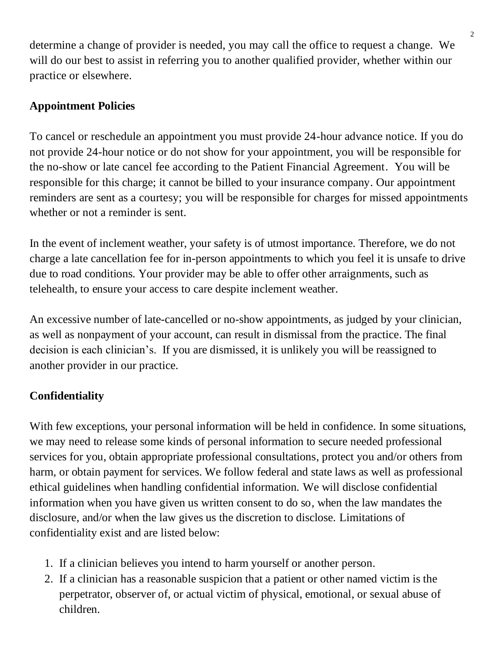determine a change of provider is needed, you may call the office to request a change. We will do our best to assist in referring you to another qualified provider, whether within our practice or elsewhere.

## **Appointment Policies**

To cancel or reschedule an appointment you must provide 24-hour advance notice. If you do not provide 24-hour notice or do not show for your appointment, you will be responsible for the no-show or late cancel fee according to the Patient Financial Agreement. You will be responsible for this charge; it cannot be billed to your insurance company. Our appointment reminders are sent as a courtesy; you will be responsible for charges for missed appointments whether or not a reminder is sent.

In the event of inclement weather, your safety is of utmost importance. Therefore, we do not charge a late cancellation fee for in-person appointments to which you feel it is unsafe to drive due to road conditions. Your provider may be able to offer other arraignments, such as telehealth, to ensure your access to care despite inclement weather.

An excessive number of late-cancelled or no-show appointments, as judged by your clinician, as well as nonpayment of your account, can result in dismissal from the practice. The final decision is each clinician's. If you are dismissed, it is unlikely you will be reassigned to another provider in our practice.

# **Confidentiality**

With few exceptions, your personal information will be held in confidence. In some situations, we may need to release some kinds of personal information to secure needed professional services for you, obtain appropriate professional consultations, protect you and/or others from harm, or obtain payment for services. We follow federal and state laws as well as professional ethical guidelines when handling confidential information. We will disclose confidential information when you have given us written consent to do so, when the law mandates the disclosure, and/or when the law gives us the discretion to disclose. Limitations of confidentiality exist and are listed below:

- 1. If a clinician believes you intend to harm yourself or another person.
- 2. If a clinician has a reasonable suspicion that a patient or other named victim is the perpetrator, observer of, or actual victim of physical, emotional, or sexual abuse of children.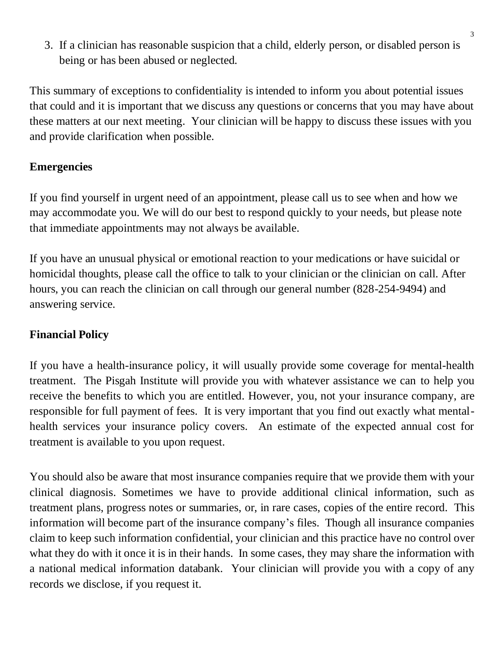3. If a clinician has reasonable suspicion that a child, elderly person, or disabled person is being or has been abused or neglected.

This summary of exceptions to confidentiality is intended to inform you about potential issues that could and it is important that we discuss any questions or concerns that you may have about these matters at our next meeting. Your clinician will be happy to discuss these issues with you and provide clarification when possible.

### **Emergencies**

If you find yourself in urgent need of an appointment, please call us to see when and how we may accommodate you. We will do our best to respond quickly to your needs, but please note that immediate appointments may not always be available.

If you have an unusual physical or emotional reaction to your medications or have suicidal or homicidal thoughts, please call the office to talk to your clinician or the clinician on call. After hours, you can reach the clinician on call through our general number (828-254-9494) and answering service.

## **Financial Policy**

If you have a health-insurance policy, it will usually provide some coverage for mental-health treatment. The Pisgah Institute will provide you with whatever assistance we can to help you receive the benefits to which you are entitled. However, you, not your insurance company, are responsible for full payment of fees. It is very important that you find out exactly what mentalhealth services your insurance policy covers. An estimate of the expected annual cost for treatment is available to you upon request.

You should also be aware that most insurance companies require that we provide them with your clinical diagnosis. Sometimes we have to provide additional clinical information, such as treatment plans, progress notes or summaries, or, in rare cases, copies of the entire record. This information will become part of the insurance company's files. Though all insurance companies claim to keep such information confidential, your clinician and this practice have no control over what they do with it once it is in their hands. In some cases, they may share the information with a national medical information databank. Your clinician will provide you with a copy of any records we disclose, if you request it.